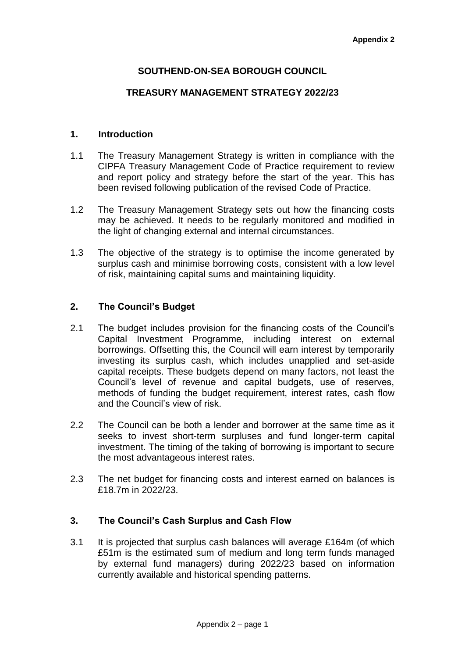# **SOUTHEND-ON-SEA BOROUGH COUNCIL**

### **TREASURY MANAGEMENT STRATEGY 2022/23**

### **1. Introduction**

- 1.1 The Treasury Management Strategy is written in compliance with the CIPFA Treasury Management Code of Practice requirement to review and report policy and strategy before the start of the year. This has been revised following publication of the revised Code of Practice.
- 1.2 The Treasury Management Strategy sets out how the financing costs may be achieved. It needs to be regularly monitored and modified in the light of changing external and internal circumstances.
- 1.3 The objective of the strategy is to optimise the income generated by surplus cash and minimise borrowing costs, consistent with a low level of risk, maintaining capital sums and maintaining liquidity.

### **2. The Council's Budget**

- 2.1 The budget includes provision for the financing costs of the Council's Capital Investment Programme, including interest on external borrowings. Offsetting this, the Council will earn interest by temporarily investing its surplus cash, which includes unapplied and set-aside capital receipts. These budgets depend on many factors, not least the Council's level of revenue and capital budgets, use of reserves, methods of funding the budget requirement, interest rates, cash flow and the Council's view of risk.
- 2.2 The Council can be both a lender and borrower at the same time as it seeks to invest short-term surpluses and fund longer-term capital investment. The timing of the taking of borrowing is important to secure the most advantageous interest rates.
- 2.3 The net budget for financing costs and interest earned on balances is £18.7m in 2022/23.

### **3. The Council's Cash Surplus and Cash Flow**

3.1 It is projected that surplus cash balances will average £164m (of which £51m is the estimated sum of medium and long term funds managed by external fund managers) during 2022/23 based on information currently available and historical spending patterns.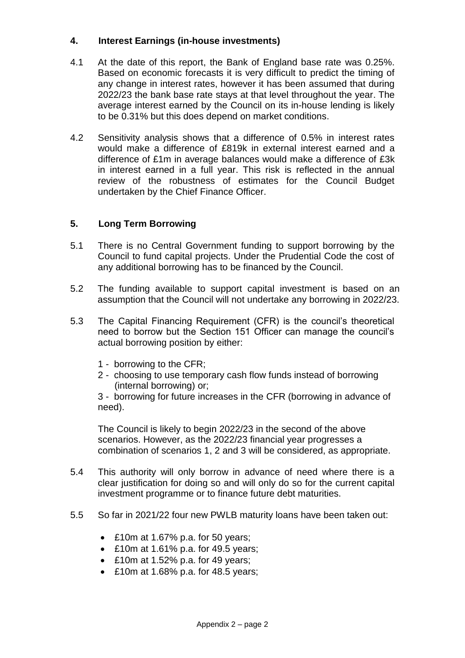## **4. Interest Earnings (in-house investments)**

- 4.1 At the date of this report, the Bank of England base rate was 0.25%. Based on economic forecasts it is very difficult to predict the timing of any change in interest rates, however it has been assumed that during 2022/23 the bank base rate stays at that level throughout the year. The average interest earned by the Council on its in-house lending is likely to be 0.31% but this does depend on market conditions.
- 4.2 Sensitivity analysis shows that a difference of 0.5% in interest rates would make a difference of £819k in external interest earned and a difference of £1m in average balances would make a difference of £3k in interest earned in a full year. This risk is reflected in the annual review of the robustness of estimates for the Council Budget undertaken by the Chief Finance Officer.

# **5. Long Term Borrowing**

- 5.1 There is no Central Government funding to support borrowing by the Council to fund capital projects. Under the Prudential Code the cost of any additional borrowing has to be financed by the Council.
- 5.2 The funding available to support capital investment is based on an assumption that the Council will not undertake any borrowing in 2022/23.
- 5.3 The Capital Financing Requirement (CFR) is the council's theoretical need to borrow but the Section 151 Officer can manage the council's actual borrowing position by either:
	- 1 borrowing to the CFR;
	- 2 choosing to use temporary cash flow funds instead of borrowing (internal borrowing) or;

3 - borrowing for future increases in the CFR (borrowing in advance of need).

The Council is likely to begin 2022/23 in the second of the above scenarios. However, as the 2022/23 financial year progresses a combination of scenarios 1, 2 and 3 will be considered, as appropriate.

- 5.4 This authority will only borrow in advance of need where there is a clear justification for doing so and will only do so for the current capital investment programme or to finance future debt maturities.
- 5.5 So far in 2021/22 four new PWLB maturity loans have been taken out:
	- £10m at 1.67% p.a. for 50 years;
	- £10m at 1.61% p.a. for 49.5 years;
	- £10m at 1.52% p.a. for 49 years;
	- £10m at 1.68% p.a. for 48.5 years;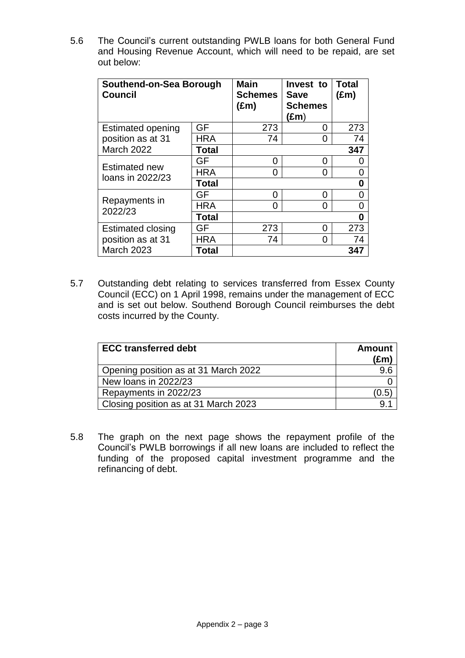5.6 The Council's current outstanding PWLB loans for both General Fund and Housing Revenue Account, which will need to be repaid, are set out below:

| Southend-on-Sea Borough<br><b>Council</b>                   |              | <b>Main</b><br><b>Schemes</b><br>$(\text{Em})$ | Invest to<br><b>Save</b><br><b>Schemes</b><br>(£m) | <b>Total</b><br>$(\text{Em})$ |
|-------------------------------------------------------------|--------------|------------------------------------------------|----------------------------------------------------|-------------------------------|
| <b>Estimated opening</b><br>position as at 31<br>March 2022 | GF           | 273                                            | O                                                  | 273                           |
|                                                             | <b>HRA</b>   | 74                                             | 0                                                  | 74                            |
|                                                             | <b>Total</b> | 347                                            |                                                    |                               |
| <b>Estimated new</b><br>loans in 2022/23                    | GF           | ი                                              | ი                                                  | 0                             |
|                                                             | <b>HRA</b>   | 0                                              | O                                                  | 0                             |
|                                                             | <b>Total</b> | 0                                              |                                                    |                               |
| Repayments in<br>2022/23                                    | GF           | ი                                              | ი                                                  | 0                             |
|                                                             | <b>HRA</b>   | ი                                              | O                                                  | ი                             |
|                                                             | <b>Total</b> | 0                                              |                                                    |                               |
| Estimated closing<br>position as at 31                      | GF           | 273                                            | O                                                  | 273                           |
|                                                             | <b>HRA</b>   | 74                                             | 0                                                  | 74                            |
| <b>March 2023</b>                                           | Total        |                                                |                                                    | 347                           |

5.7 Outstanding debt relating to services transferred from Essex County Council (ECC) on 1 April 1998, remains under the management of ECC and is set out below. Southend Borough Council reimburses the debt costs incurred by the County.

| <b>ECC transferred debt</b>          | <b>Amount</b><br>$(\text{Em})$ |
|--------------------------------------|--------------------------------|
| Opening position as at 31 March 2022 |                                |
| New loans in 2022/23                 |                                |
| Repayments in 2022/23                | (0.5                           |
| Closing position as at 31 March 2023 |                                |

5.8 The graph on the next page shows the repayment profile of the Council's PWLB borrowings if all new loans are included to reflect the funding of the proposed capital investment programme and the refinancing of debt.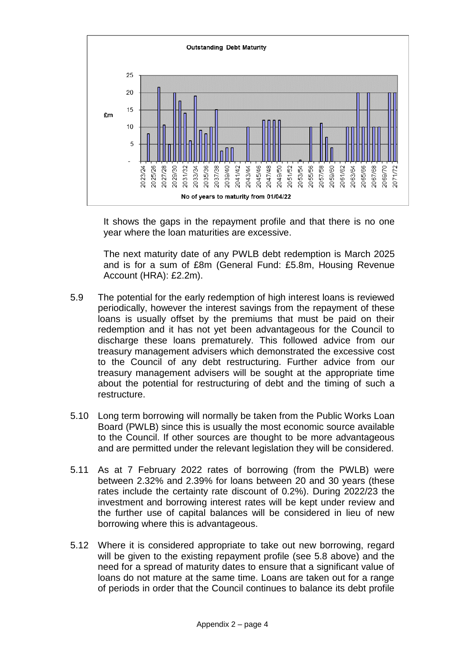

It shows the gaps in the repayment profile and that there is no one year where the loan maturities are excessive.

The next maturity date of any PWLB debt redemption is March 2025 and is for a sum of £8m (General Fund: £5.8m, Housing Revenue Account (HRA): £2.2m).

- 5.9 The potential for the early redemption of high interest loans is reviewed periodically, however the interest savings from the repayment of these loans is usually offset by the premiums that must be paid on their redemption and it has not yet been advantageous for the Council to discharge these loans prematurely. This followed advice from our treasury management advisers which demonstrated the excessive cost to the Council of any debt restructuring. Further advice from our treasury management advisers will be sought at the appropriate time about the potential for restructuring of debt and the timing of such a restructure.
- 5.10 Long term borrowing will normally be taken from the Public Works Loan Board (PWLB) since this is usually the most economic source available to the Council. If other sources are thought to be more advantageous and are permitted under the relevant legislation they will be considered.
- 5.11 As at 7 February 2022 rates of borrowing (from the PWLB) were between 2.32% and 2.39% for loans between 20 and 30 years (these rates include the certainty rate discount of 0.2%). During 2022/23 the investment and borrowing interest rates will be kept under review and the further use of capital balances will be considered in lieu of new borrowing where this is advantageous.
- 5.12 Where it is considered appropriate to take out new borrowing, regard will be given to the existing repayment profile (see 5.8 above) and the need for a spread of maturity dates to ensure that a significant value of loans do not mature at the same time. Loans are taken out for a range of periods in order that the Council continues to balance its debt profile